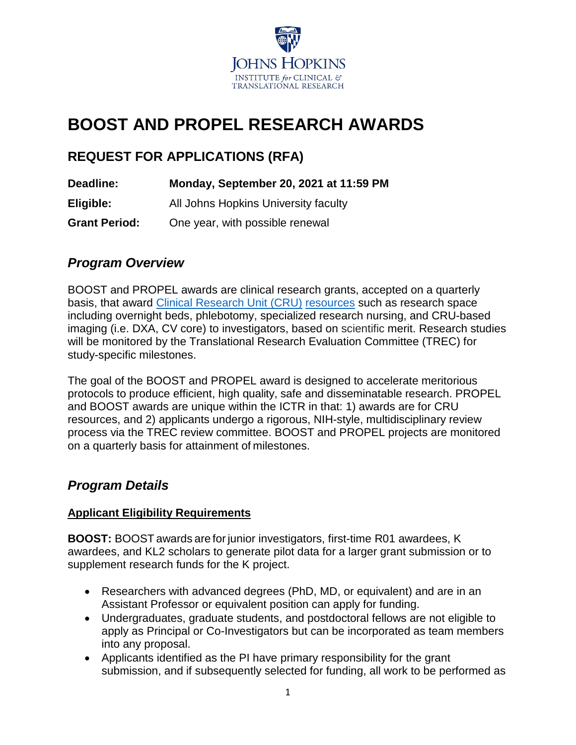

# **BOOST AND PROPEL RESEARCH AWARDS**

## **REQUEST FOR APPLICATIONS (RFA)**

| Deadline:            | Monday, September 20, 2021 at 11:59 PM |
|----------------------|----------------------------------------|
| Eligible:            | All Johns Hopkins University faculty   |
| <b>Grant Period:</b> | One year, with possible renewal        |

### *Program Overview*

BOOST and PROPEL awards are clinical research grants, accepted on a quarterly basis, that award Clinical [Research Unit \(CRU\)](https://ictr.johnshopkins.edu/programs_resources/programs-resources/clinical-research-units/) [resources](https://ictr.johnshopkins.edu/wp-content/uploads/FY20-Pricing-Template-Oct-2019.pdf) such as research space including overnight beds, phlebotomy, specialized research nursing, and CRU-based imaging (i.e. DXA, CV core) to investigators, based on scientific merit. Research studies will be monitored by the Translational Research Evaluation Committee (TREC) for study-specific milestones.

The goal of the BOOST and PROPEL award is designed to accelerate meritorious protocols to produce efficient, high quality, safe and disseminatable research. PROPEL and BOOST awards are unique within the ICTR in that: 1) awards are for CRU resources, and 2) applicants undergo a rigorous, NIH-style, multidisciplinary review process via the TREC review committee. BOOST and PROPEL projects are monitored on a quarterly basis for attainment of milestones.

### *Program Details*

### **Applicant Eligibility Requirements**

**BOOST:** BOOST awards are for junior investigators, first-time R01 awardees, K awardees, and KL2 scholars to generate pilot data for a larger grant submission or to supplement research funds for the K project.

- Researchers with advanced degrees (PhD, MD, or equivalent) and are in an Assistant Professor or equivalent position can apply for funding.
- Undergraduates, graduate students, and postdoctoral fellows are not eligible to apply as Principal or Co-Investigators but can be incorporated as team members into any proposal.
- Applicants identified as the PI have primary responsibility for the grant submission, and if subsequently selected for funding, all work to be performed as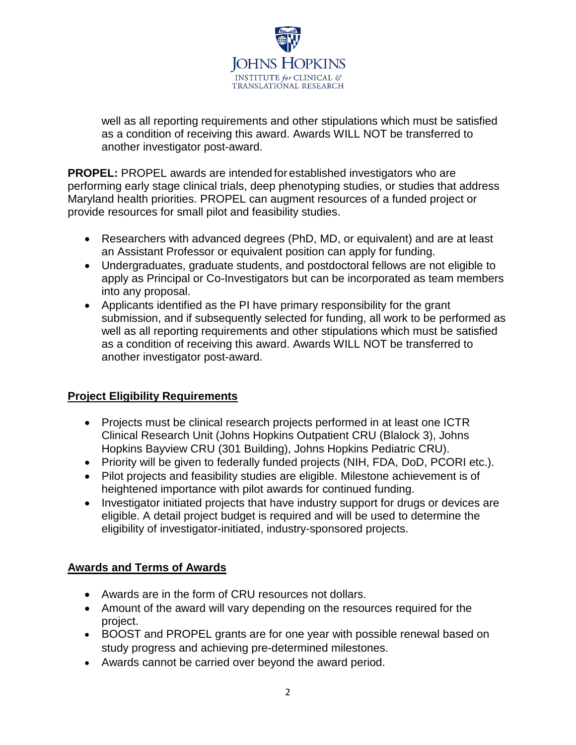**IOHNS F PKINS** INSTITUTE for CLINICAL & **TRANSLATIONAL RESEARCH** 

well as all reporting requirements and other stipulations which must be satisfied as a condition of receiving this award. Awards WILL NOT be transferred to another investigator post-award.

**PROPEL:** PROPEL awards are intended for established investigators who are performing early stage clinical trials, deep phenotyping studies, or studies that address Maryland health priorities. PROPEL can augment resources of a funded project or provide resources for small pilot and feasibility studies.

- Researchers with advanced degrees (PhD, MD, or equivalent) and are at least an Assistant Professor or equivalent position can apply for funding.
- Undergraduates, graduate students, and postdoctoral fellows are not eligible to apply as Principal or Co-Investigators but can be incorporated as team members into any proposal.
- Applicants identified as the PI have primary responsibility for the grant submission, and if subsequently selected for funding, all work to be performed as well as all reporting requirements and other stipulations which must be satisfied as a condition of receiving this award. Awards WILL NOT be transferred to another investigator post-award.

### **Project Eligibility Requirements**

- Projects must be clinical research projects performed in at least one ICTR Clinical Research Unit (Johns Hopkins Outpatient CRU (Blalock 3), Johns Hopkins Bayview CRU (301 Building), Johns Hopkins Pediatric CRU).
- Priority will be given to federally funded projects (NIH, FDA, DoD, PCORI etc.).
- Pilot projects and feasibility studies are eligible. Milestone achievement is of heightened importance with pilot awards for continued funding.
- Investigator initiated projects that have industry support for drugs or devices are eligible. A detail project budget is required and will be used to determine the eligibility of investigator-initiated, industry-sponsored projects.

### **Awards and Terms of Awards**

- Awards are in the form of CRU resources not dollars.
- Amount of the award will vary depending on the resources required for the project.
- BOOST and PROPEL grants are for one year with possible renewal based on study progress and achieving pre-determined milestones.
- Awards cannot be carried over beyond the award period.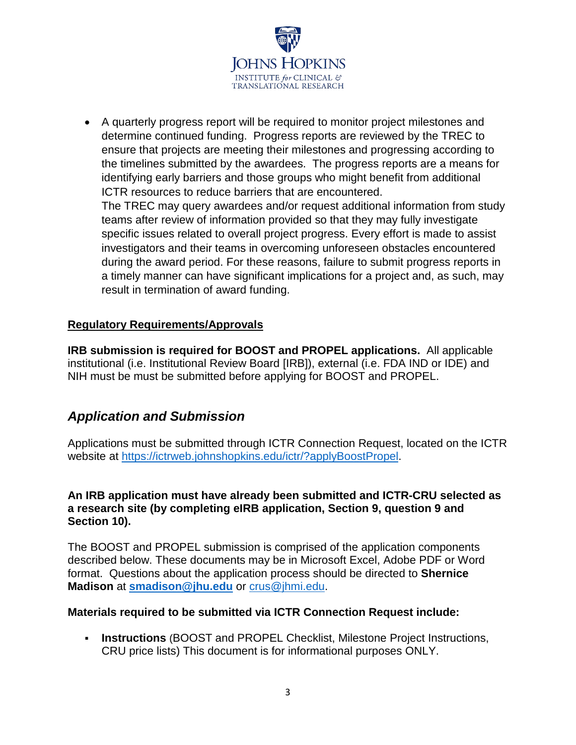

• A quarterly progress report will be required to monitor project milestones and determine continued funding. Progress reports are reviewed by the TREC to ensure that projects are meeting their milestones and progressing according to the timelines submitted by the awardees. The progress reports are a means for identifying early barriers and those groups who might benefit from additional ICTR resources to reduce barriers that are encountered.

The TREC may query awardees and/or request additional information from study teams after review of information provided so that they may fully investigate specific issues related to overall project progress. Every effort is made to assist investigators and their teams in overcoming unforeseen obstacles encountered during the award period. For these reasons, failure to submit progress reports in a timely manner can have significant implications for a project and, as such, may result in termination of award funding.

### **Regulatory Requirements/Approvals**

**IRB submission is required for BOOST and PROPEL applications.** All applicable institutional (i.e. Institutional Review Board [IRB]), external (i.e. FDA IND or IDE) and NIH must be must be submitted before applying for BOOST and PROPEL.

### *Application and Submission*

Applications must be submitted through ICTR Connection Request, located on the ICTR website at [https://ictrweb.johnshopkins.edu/ictr/?applyBoostPropel.](https://ictrweb.johnshopkins.edu/ictr/?applyBoostPropel)

#### **An IRB application must have already been submitted and ICTR-CRU selected as a research site (by completing eIRB application, Section 9, question 9 and Section 10).**

The BOOST and PROPEL submission is comprised of the application components described below. These documents may be in Microsoft Excel, Adobe PDF or Word format. Questions about the application process should be directed to **Shernice Madison** at **[smadison@jhu.edu](mailto:smadison@jhu.edu)** or [crus@jhmi.edu.](mailto:crus@jhmi.edu)

### **Materials required to be submitted via ICTR Connection Request include:**

 **Instructions** (BOOST and PROPEL Checklist, Milestone Project Instructions, CRU price lists) This document is for informational purposes ONLY.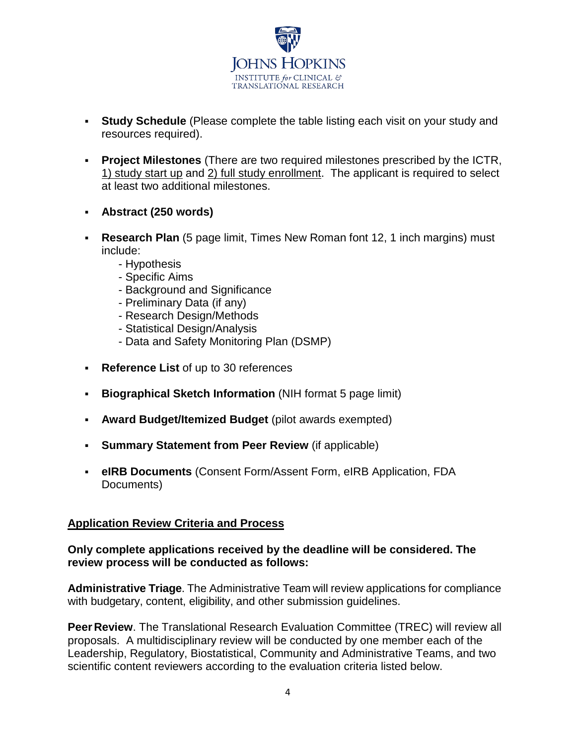

- **Study Schedule** (Please complete the table listing each visit on your study and resources required).
- **Project Milestones** (There are two required milestones prescribed by the ICTR, 1) study start up and 2) full study enrollment. The applicant is required to select at least two additional milestones.
- **Abstract (250 words)**
- **Research Plan** (5 page limit, Times New Roman font 12, 1 inch margins) must include:
	- Hypothesis
	- Specific Aims
	- Background and Significance
	- Preliminary Data (if any)
	- Research Design/Methods
	- Statistical Design/Analysis
	- Data and Safety Monitoring Plan (DSMP)
- **Reference List** of up to 30 references
- **Biographical Sketch Information** (NIH format 5 page limit)
- **Award Budget/Itemized Budget** (pilot awards exempted)
- **Summary Statement from Peer Review** (if applicable)
- **eIRB Documents** (Consent Form/Assent Form, eIRB Application, FDA Documents)

### **Application Review Criteria and Process**

#### **Only complete applications received by the deadline will be considered. The review process will be conducted as follows:**

**Administrative Triage**. The Administrative Team will review applications for compliance with budgetary, content, eligibility, and other submission guidelines.

**Peer Review**. The Translational Research Evaluation Committee (TREC) will review all proposals. A multidisciplinary review will be conducted by one member each of the Leadership, Regulatory, Biostatistical, Community and Administrative Teams, and two scientific content reviewers according to the evaluation criteria listed below.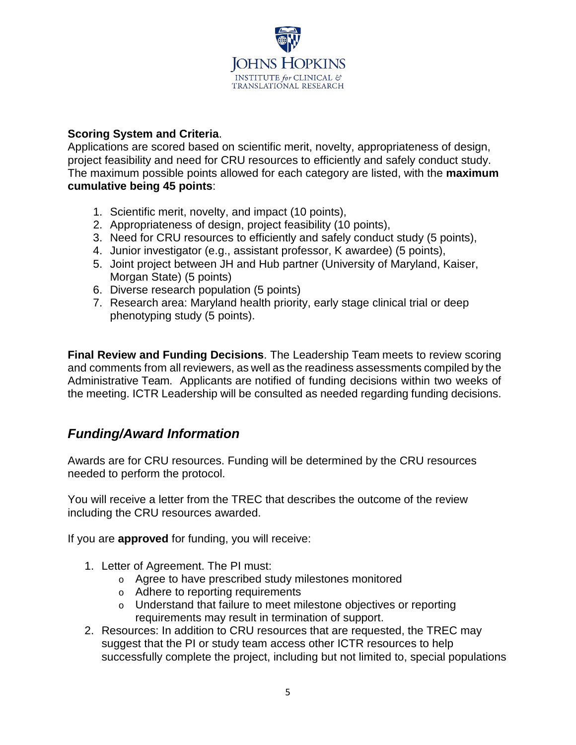

#### **Scoring System and Criteria**.

Applications are scored based on scientific merit, novelty, appropriateness of design, project feasibility and need for CRU resources to efficiently and safely conduct study. The maximum possible points allowed for each category are listed, with the **maximum cumulative being 45 points**:

- 1. Scientific merit, novelty, and impact (10 points),
- 2. Appropriateness of design, project feasibility (10 points),
- 3. Need for CRU resources to efficiently and safely conduct study (5 points),
- 4. Junior investigator (e.g., assistant professor, K awardee) (5 points),
- 5. Joint project between JH and Hub partner (University of Maryland, Kaiser, Morgan State) (5 points)
- 6. Diverse research population (5 points)
- 7. Research area: Maryland health priority, early stage clinical trial or deep phenotyping study (5 points).

**Final Review and Funding Decisions**. The Leadership Team meets to review scoring and comments from all reviewers, as well as the readiness assessments compiled by the Administrative Team. Applicants are notified of funding decisions within two weeks of the meeting. ICTR Leadership will be consulted as needed regarding funding decisions.

### *Funding/Award Information*

Awards are for CRU resources. Funding will be determined by the CRU resources needed to perform the protocol.

You will receive a letter from the TREC that describes the outcome of the review including the CRU resources awarded.

If you are **approved** for funding, you will receive:

- 1. Letter of Agreement. The PI must:
	- o Agree to have prescribed study milestones monitored
	- o Adhere to reporting requirements
	- o Understand that failure to meet milestone objectives or reporting requirements may result in termination of support.
- 2. Resources: In addition to CRU resources that are requested, the TREC may suggest that the PI or study team access other ICTR resources to help successfully complete the project, including but not limited to, special populations